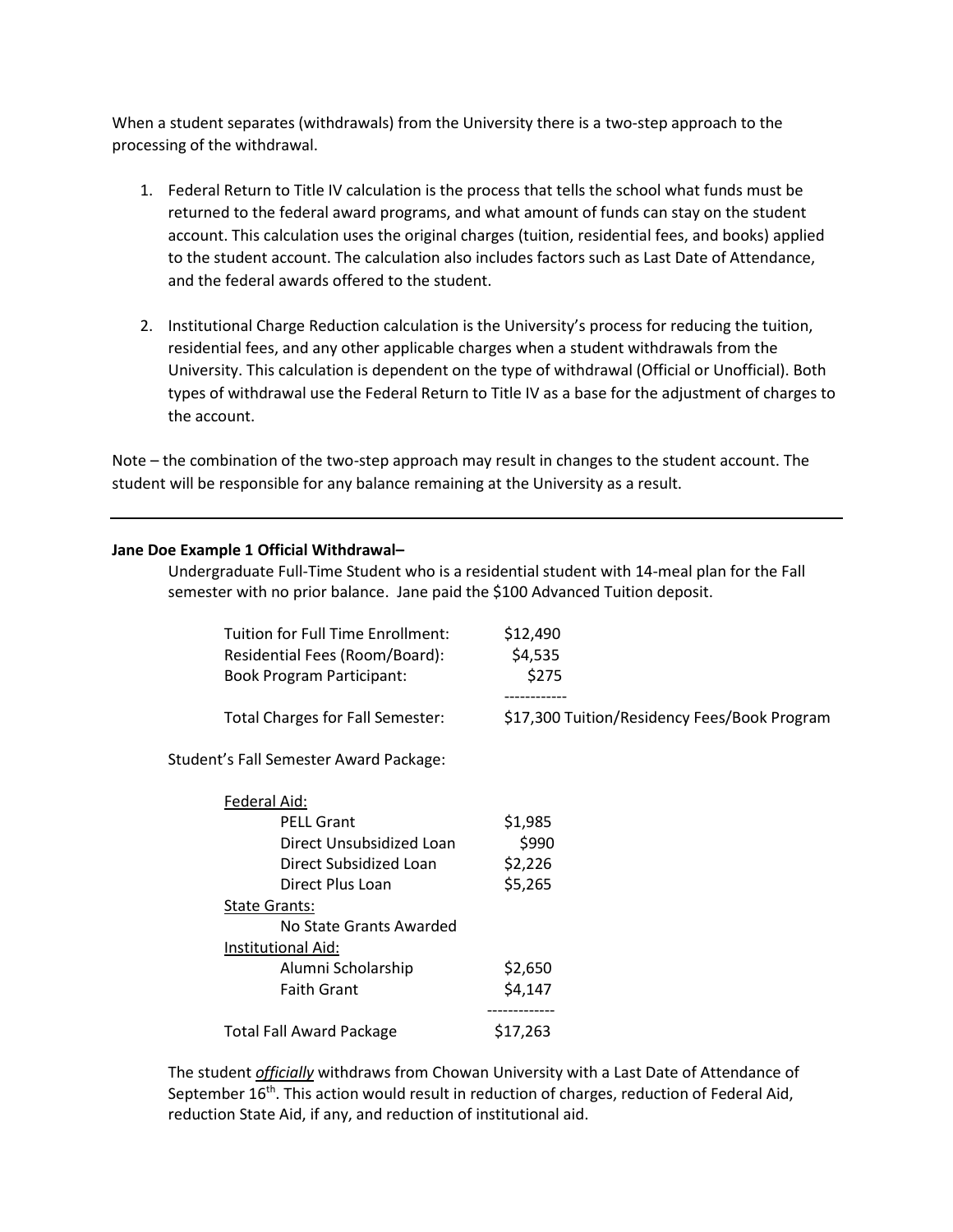When a student separates (withdrawals) from the University there is a two-step approach to the processing of the withdrawal.

- 1. Federal Return to Title IV calculation is the process that tells the school what funds must be returned to the federal award programs, and what amount of funds can stay on the student account. This calculation uses the original charges (tuition, residential fees, and books) applied to the student account. The calculation also includes factors such as Last Date of Attendance, and the federal awards offered to the student.
- 2. Institutional Charge Reduction calculation is the University's process for reducing the tuition, residential fees, and any other applicable charges when a student withdrawals from the University. This calculation is dependent on the type of withdrawal (Official or Unofficial). Both types of withdrawal use the Federal Return to Title IV as a base for the adjustment of charges to the account.

Note – the combination of the two-step approach may result in changes to the student account. The student will be responsible for any balance remaining at the University as a result.

## **Jane Doe Example 1 Official Withdrawal–**

Undergraduate Full-Time Student who is a residential student with 14-meal plan for the Fall semester with no prior balance. Jane paid the \$100 Advanced Tuition deposit.

| Tuition for Full Time Enrollment:       | \$12,490                                     |
|-----------------------------------------|----------------------------------------------|
| Residential Fees (Room/Board):          | \$4,535                                      |
| Book Program Participant:               | \$275                                        |
|                                         |                                              |
| <b>Total Charges for Fall Semester:</b> | \$17,300 Tuition/Residency Fees/Book Program |

Student's Fall Semester Award Package:

| Federal Aid:                    |           |
|---------------------------------|-----------|
| <b>PELL Grant</b>               | \$1,985   |
| Direct Unsubsidized Loan        | \$990     |
| Direct Subsidized Loan          | \$2,226   |
| Direct Plus Loan                | \$5,265   |
| <b>State Grants:</b>            |           |
| No State Grants Awarded         |           |
| Institutional Aid:              |           |
| Alumni Scholarship              | \$2,650   |
| <b>Faith Grant</b>              | \$4,147   |
|                                 | --------- |
| <b>Total Fall Award Package</b> | S17.263   |

The student *officially* withdraws from Chowan University with a Last Date of Attendance of September 16<sup>th</sup>. This action would result in reduction of charges, reduction of Federal Aid, reduction State Aid, if any, and reduction of institutional aid.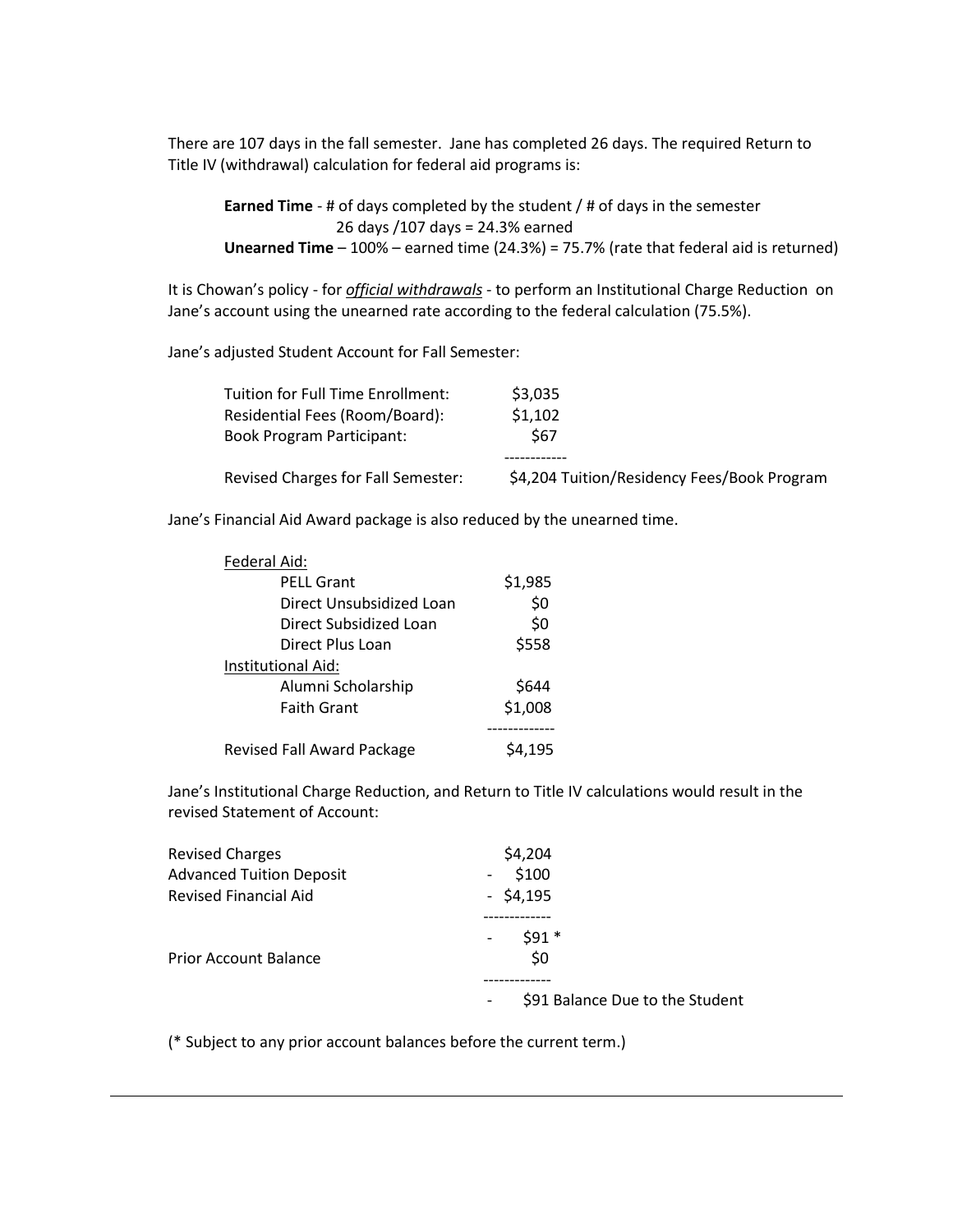There are 107 days in the fall semester. Jane has completed 26 days. The required Return to Title IV (withdrawal) calculation for federal aid programs is:

**Earned Time** - # of days completed by the student / # of days in the semester 26 days /107 days = 24.3% earned **Unearned Time** – 100% – earned time (24.3%) = 75.7% (rate that federal aid is returned)

It is Chowan's policy - for *official withdrawals* - to perform an Institutional Charge Reduction on Jane's account using the unearned rate according to the federal calculation (75.5%).

Jane's adjusted Student Account for Fall Semester:

| Tuition for Full Time Enrollment:         | \$3,035                                     |
|-------------------------------------------|---------------------------------------------|
| Residential Fees (Room/Board):            | \$1,102                                     |
| Book Program Participant:                 | \$67                                        |
|                                           |                                             |
| <b>Revised Charges for Fall Semester:</b> | \$4,204 Tuition/Residency Fees/Book Program |

Jane's Financial Aid Award package is also reduced by the unearned time.

| Federal Aid:               |         |
|----------------------------|---------|
| <b>PELL Grant</b>          | \$1,985 |
| Direct Unsubsidized Loan   | \$0     |
| Direct Subsidized Loan     | \$0     |
| Direct Plus Loan           | \$558   |
| Institutional Aid:         |         |
| Alumni Scholarship         | \$644   |
| <b>Faith Grant</b>         | \$1,008 |
|                            |         |
| Revised Fall Award Package | 54,195  |

Jane's Institutional Charge Reduction, and Return to Title IV calculations would result in the revised Statement of Account:

| <b>Revised Charges</b>          | \$4,204                                                     |
|---------------------------------|-------------------------------------------------------------|
| <b>Advanced Tuition Deposit</b> | \$100<br>$\overline{\phantom{a}}$                           |
| <b>Revised Financial Aid</b>    | $-$ \$4,195                                                 |
| <b>Prior Account Balance</b>    | $$91*$<br>\$0                                               |
|                                 | \$91 Balance Due to the Student<br>$\overline{\phantom{a}}$ |

(\* Subject to any prior account balances before the current term.)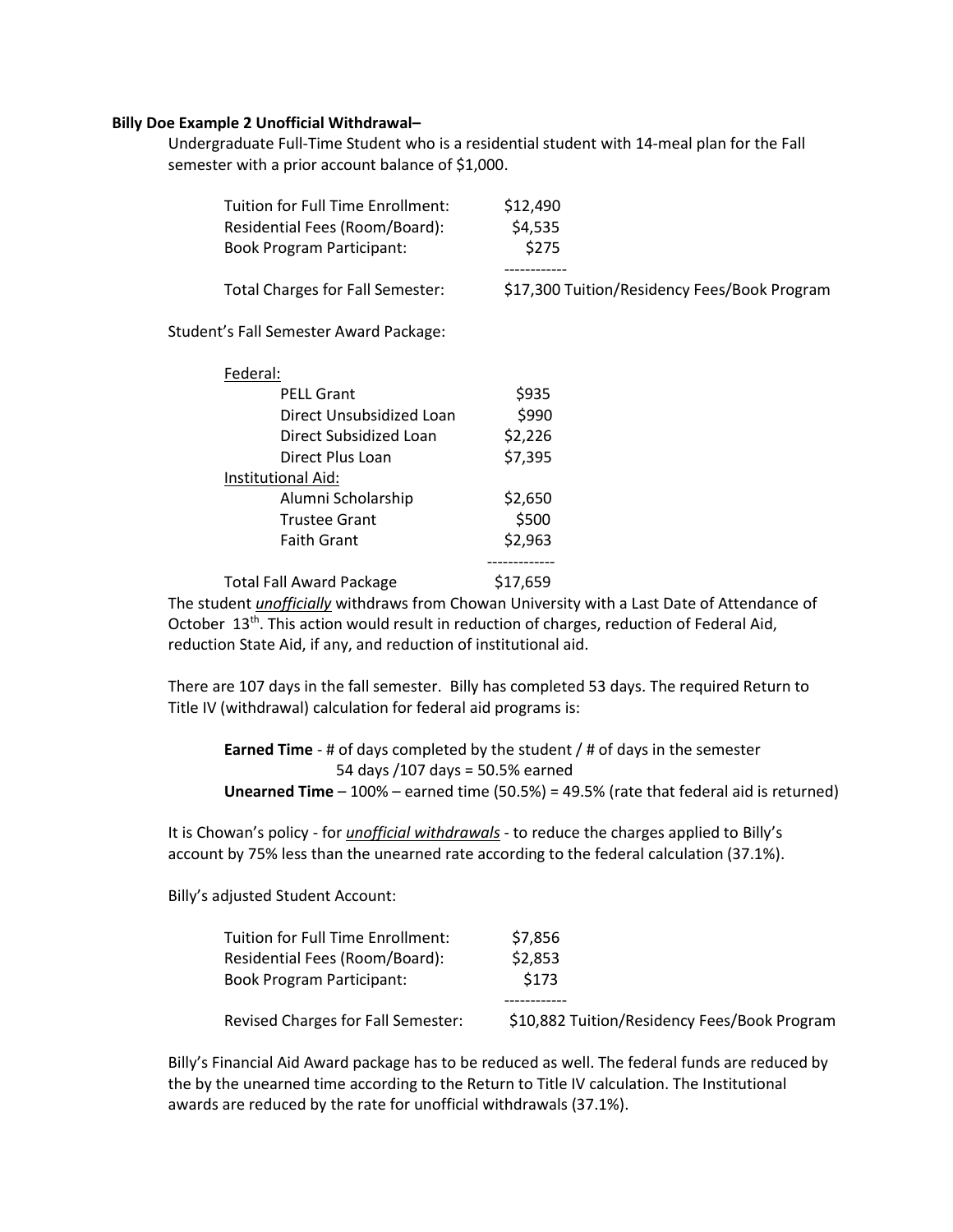## **Billy Doe Example 2 Unofficial Withdrawal–**

Undergraduate Full-Time Student who is a residential student with 14-meal plan for the Fall semester with a prior account balance of \$1,000.

| Tuition for Full Time Enrollment:<br>Residential Fees (Room/Board):<br><b>Book Program Participant:</b><br>Total Charges for Fall Semester: | \$12,490<br>\$4,535<br>\$275<br>\$17,300 Tuition/Residency Fees/Book Program |
|---------------------------------------------------------------------------------------------------------------------------------------------|------------------------------------------------------------------------------|
| Student's Fall Semester Award Package:                                                                                                      |                                                                              |
| Federal:                                                                                                                                    |                                                                              |
| <b>PELL Grant</b>                                                                                                                           | \$935                                                                        |
| Direct Unsubsidized Loan                                                                                                                    | \$990                                                                        |
| Direct Subsidized Loan                                                                                                                      | \$2,226                                                                      |
| Direct Plus Loan                                                                                                                            | \$7,395                                                                      |
| Institutional Aid:                                                                                                                          |                                                                              |
| Alumni Scholarship                                                                                                                          | \$2,650                                                                      |
| <b>Trustee Grant</b>                                                                                                                        | \$500                                                                        |
| <b>Faith Grant</b>                                                                                                                          | \$2,963                                                                      |
| <b>Total Fall Award Package</b>                                                                                                             | \$17,659                                                                     |

The student *unofficially* withdraws from Chowan University with a Last Date of Attendance of October 13<sup>th</sup>. This action would result in reduction of charges, reduction of Federal Aid, reduction State Aid, if any, and reduction of institutional aid.

There are 107 days in the fall semester. Billy has completed 53 days. The required Return to Title IV (withdrawal) calculation for federal aid programs is:

**Earned Time** - # of days completed by the student / # of days in the semester 54 days /107 days = 50.5% earned **Unearned Time** – 100% – earned time (50.5%) = 49.5% (rate that federal aid is returned)

It is Chowan's policy - for *unofficial withdrawals* - to reduce the charges applied to Billy's account by 75% less than the unearned rate according to the federal calculation (37.1%).

Billy's adjusted Student Account:

| Tuition for Full Time Enrollment:         | \$7,856                                      |
|-------------------------------------------|----------------------------------------------|
| Residential Fees (Room/Board):            | \$2,853                                      |
| <b>Book Program Participant:</b>          | \$173                                        |
|                                           |                                              |
| <b>Revised Charges for Fall Semester:</b> | \$10,882 Tuition/Residency Fees/Book Program |

Billy's Financial Aid Award package has to be reduced as well. The federal funds are reduced by the by the unearned time according to the Return to Title IV calculation. The Institutional awards are reduced by the rate for unofficial withdrawals (37.1%).